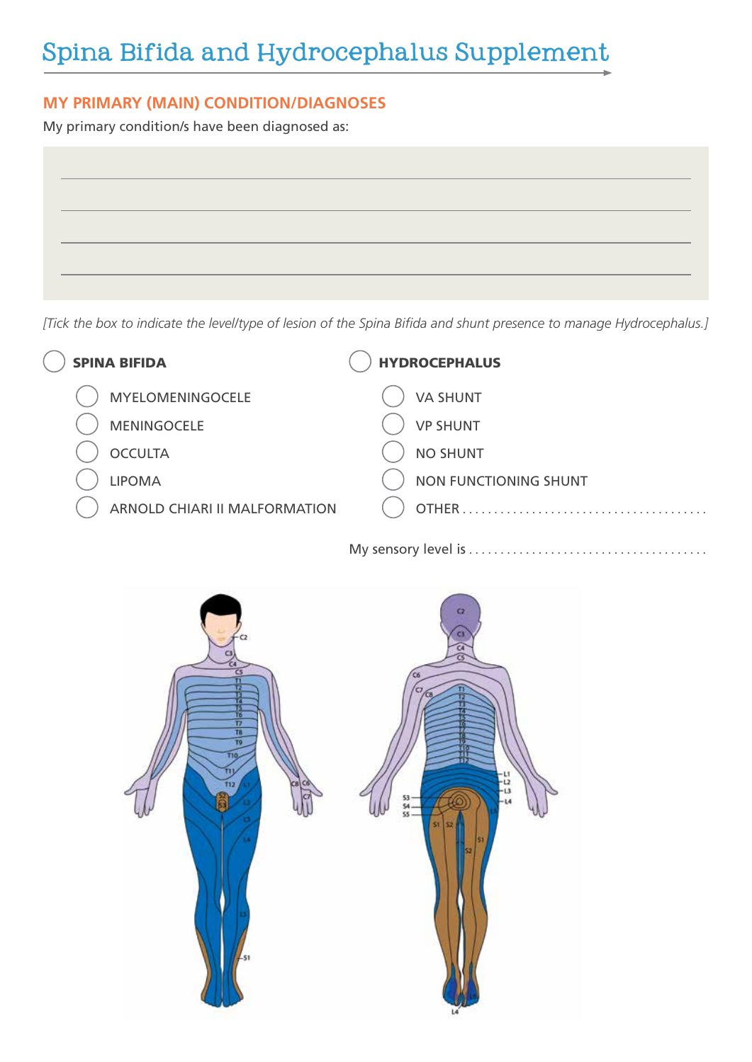# Spina Bifida and Hydrocephalus Supplement

## **MY PRIMARY (MAIN) CONDITION/DIAGNOSES**

My primary condition/s have been diagnosed as:

*[Tick the box to indicate the level/type of lesion of the Spina Bifida and shunt presence to manage Hydrocephalus.]* 

| <b>SPINA BIFIDA</b>           | <b>HYDROCEPHALUS</b>  |
|-------------------------------|-----------------------|
| MYELOMENINGOCELE              | <b>VA SHUNT</b>       |
| MENINGOCELE                   | <b>VP SHUNT</b>       |
| <b>OCCULTA</b>                | <b>NO SHUNT</b>       |
| <b>LIPOMA</b>                 | NON FUNCTIONING SHUNT |
| ARNOLD CHIARI II MALFORMATION |                       |
|                               |                       |

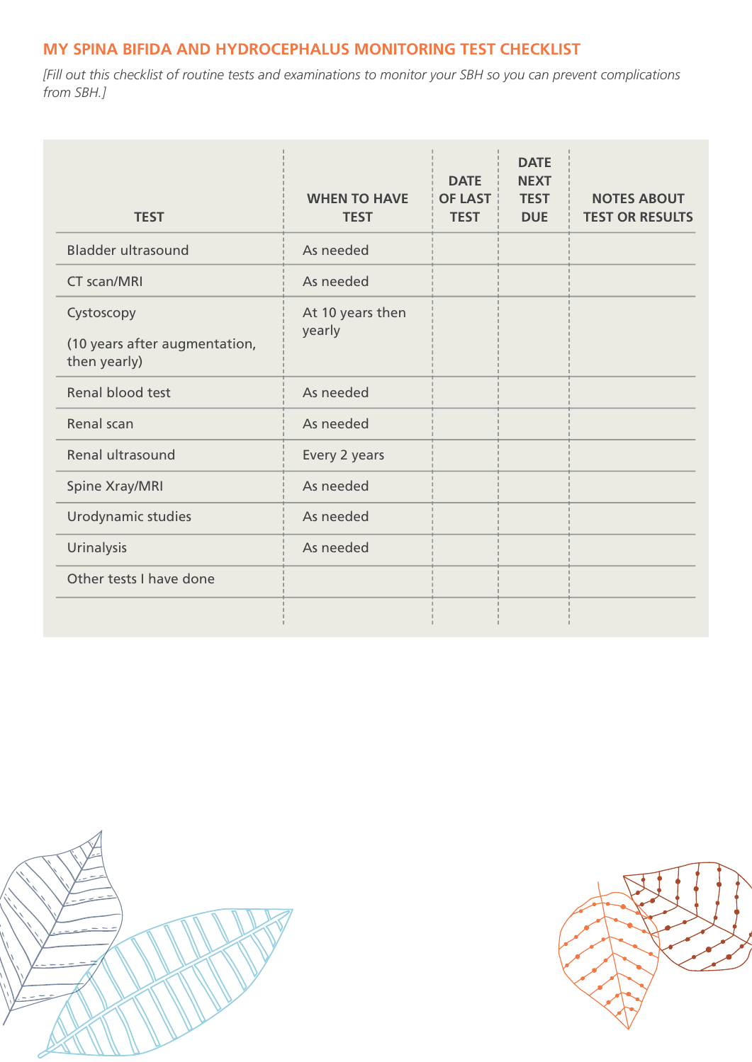# **MY SPINA BIFIDA AND HYDROCEPHALUS MONITORING TEST CHECKLIST**

*[Fill out this checklist of routine tests and examinations to monitor your SBH so you can prevent complications from SBH.]*

| <b>TEST</b>                                                 | <b>WHEN TO HAVE</b><br><b>TEST</b> | <b>DATE</b><br><b>OF LAST</b><br><b>TEST</b> | <b>DATE</b><br><b>NEXT</b><br><b>TEST</b><br><b>DUE</b> | <b>NOTES ABOUT</b><br><b>TEST OR RESULTS</b> |
|-------------------------------------------------------------|------------------------------------|----------------------------------------------|---------------------------------------------------------|----------------------------------------------|
| <b>Bladder ultrasound</b>                                   | As needed                          |                                              |                                                         |                                              |
| <b>CT scan/MRI</b>                                          | As needed                          |                                              |                                                         |                                              |
| Cystoscopy<br>(10 years after augmentation,<br>then yearly) | At 10 years then<br>yearly         |                                              |                                                         |                                              |
| Renal blood test                                            | As needed                          |                                              |                                                         |                                              |
| <b>Renal scan</b>                                           | As needed                          |                                              |                                                         |                                              |
| Renal ultrasound                                            | Every 2 years                      |                                              |                                                         |                                              |
| Spine Xray/MRI                                              | As needed                          |                                              |                                                         |                                              |
| Urodynamic studies                                          | As needed                          |                                              |                                                         |                                              |
| <b>Urinalysis</b>                                           | As needed                          |                                              |                                                         |                                              |
| Other tests I have done                                     |                                    |                                              |                                                         |                                              |
|                                                             |                                    |                                              |                                                         |                                              |



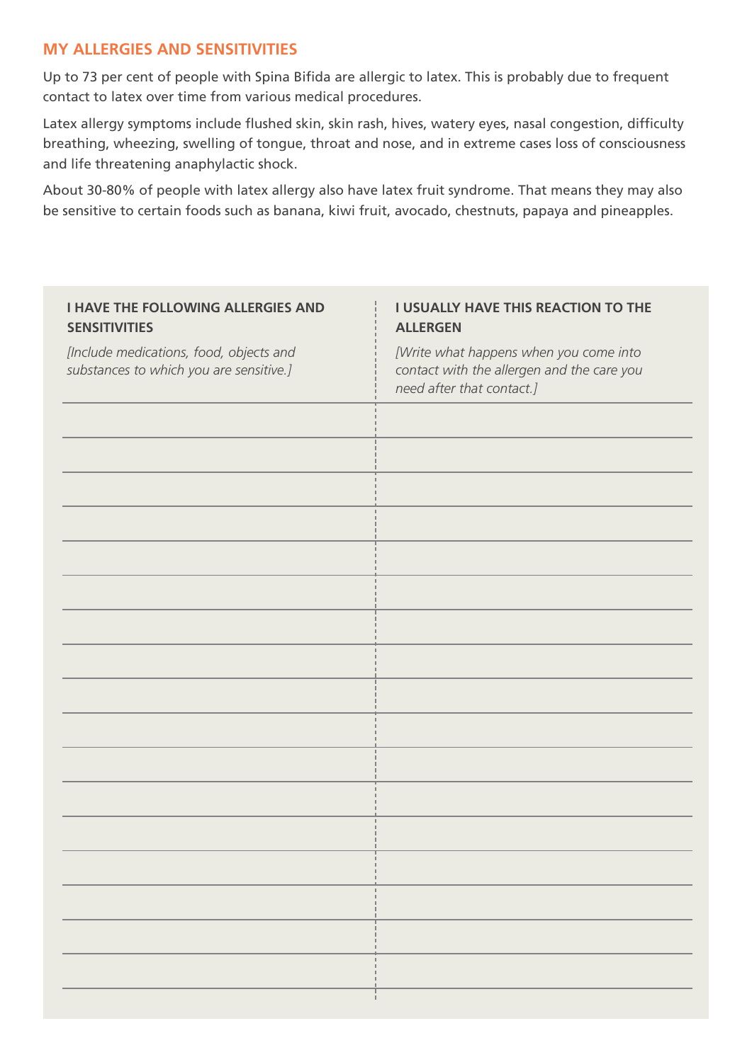#### **MY ALLERGIES AND SENSITIVITIES**

Up to 73 per cent of people with Spina Bifida are allergic to latex. This is probably due to frequent contact to latex over time from various medical procedures.

Latex allergy symptoms include flushed skin, skin rash, hives, watery eyes, nasal congestion, difficulty breathing, wheezing, swelling of tongue, throat and nose, and in extreme cases loss of consciousness and life threatening anaphylactic shock.

About 30-80% of people with latex allergy also have latex fruit syndrome. That means they may also be sensitive to certain foods such as banana, kiwi fruit, avocado, chestnuts, papaya and pineapples.

| <b>I USUALLY HAVE THIS REACTION TO THE</b><br><b>ALLERGEN</b>                                                     |  |  |
|-------------------------------------------------------------------------------------------------------------------|--|--|
| [Write what happens when you come into<br>contact with the allergen and the care you<br>need after that contact.] |  |  |
|                                                                                                                   |  |  |
|                                                                                                                   |  |  |
|                                                                                                                   |  |  |
|                                                                                                                   |  |  |
|                                                                                                                   |  |  |
|                                                                                                                   |  |  |
|                                                                                                                   |  |  |
|                                                                                                                   |  |  |
|                                                                                                                   |  |  |
|                                                                                                                   |  |  |
|                                                                                                                   |  |  |
|                                                                                                                   |  |  |
|                                                                                                                   |  |  |
|                                                                                                                   |  |  |
|                                                                                                                   |  |  |
|                                                                                                                   |  |  |
|                                                                                                                   |  |  |
|                                                                                                                   |  |  |